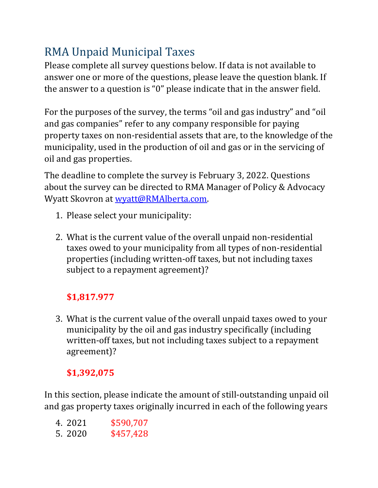# RMA Unpaid Municipal Taxes

Please complete all survey questions below. If data is not available to answer one or more of the questions, please leave the question blank. If the answer to a question is "0" please indicate that in the answer field.

For the purposes of the survey, the terms "oil and gas industry" and "oil and gas companies" refer to any company responsible for paying property taxes on non-residential assets that are, to the knowledge of the municipality, used in the production of oil and gas or in the servicing of oil and gas properties.

The deadline to complete the survey is February 3, 2022. Questions about the survey can be directed to RMA Manager of Policy & Advocacy Wyatt Skovron at wyatt@RMAlberta.com.

- 1. Please select your municipality:
- 2. What is the current value of the overall unpaid non-residential taxes owed to your municipality from all types of non-residential properties (including written-off taxes, but not including taxes subject to a repayment agreement)?

# **\$1,817.977**

3. What is the current value of the overall unpaid taxes owed to your municipality by the oil and gas industry specifically (including written-off taxes, but not including taxes subject to a repayment agreement)?

# **\$1,392,075**

In this section, please indicate the amount of still-outstanding unpaid oil and gas property taxes originally incurred in each of the following years

- 4. 2021 \$590,707
- 5. 2020 \$457,428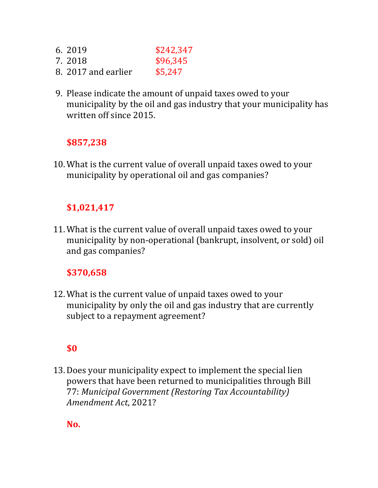- 6. 2019 \$242,347
- 7. 2018 \$96,345
- 8. 2017 and earlier \$5,247
- 9. Please indicate the amount of unpaid taxes owed to your municipality by the oil and gas industry that your municipality has written off since 2015.

## **\$857,238**

10.What is the current value of overall unpaid taxes owed to your municipality by operational oil and gas companies?

#### **\$1,021,417**

11.What is the current value of overall unpaid taxes owed to your municipality by non-operational (bankrupt, insolvent, or sold) oil and gas companies?

#### **\$370,658**

12.What is the current value of unpaid taxes owed to your municipality by only the oil and gas industry that are currently subject to a repayment agreement?

## **\$0**

13.Does your municipality expect to implement the special lien powers that have been returned to municipalities through Bill 77: *Municipal Government (Restoring Tax Accountability) Amendment Act*, 2021?

**No.**